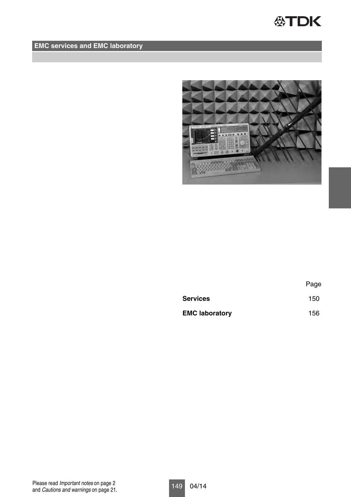## **公TDK**

## **EMC services and EMC laboratory**



|                       | Page |
|-----------------------|------|
| Services              | 150  |
| <b>EMC laboratory</b> | 156  |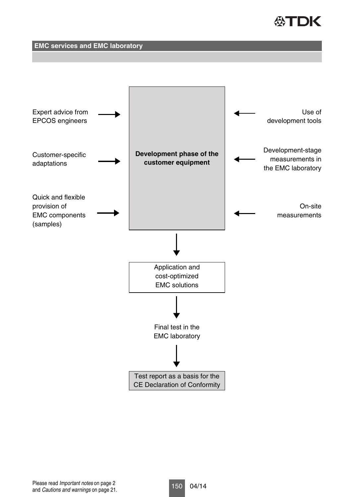# **公丁口K**

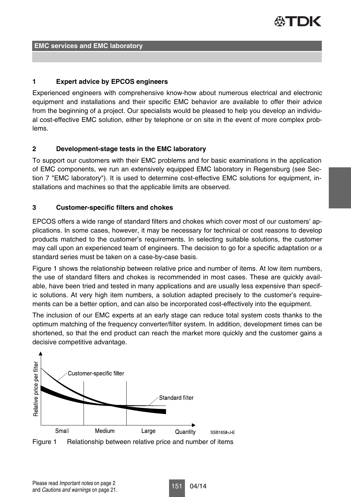

#### **1 Expert advice by EPCOS engineers**

Experienced engineers with comprehensive know-how about numerous electrical and electronic equipment and installations and their specific EMC behavior are available to offer their advice from the beginning of a project. Our specialists would be pleased to help you develop an individual cost-effective EMC solution, either by telephone or on site in the event of more complex problems.

#### **2 Development-stage tests in the EMC laboratory**

To support our customers with their EMC problems and for basic examinations in the application of EMC components, we run an extensively equipped EMC laboratory in Regensburg (see Section 7 "EMC laboratory"). It is used to determine cost-effective EMC solutions for equipment, installations and machines so that the applicable limits are observed.

#### **3 Customer-specific filters and chokes**

EPCOS offers a wide range of standard filters and chokes which cover most of our customers' applications. In some cases, however, it may be necessary for technical or cost reasons to develop products matched to the customer's requirements. In selecting suitable solutions, the customer may call upon an experienced team of engineers. The decision to go for a specific adaptation or a standard series must be taken on a case-by-case basis.

Figure 1 shows the relationship between relative price and number of items. At low item numbers, the use of standard filters and chokes is recommended in most cases. These are quickly available, have been tried and tested in many applications and are usually less expensive than specific solutions. At very high item numbers, a solution adapted precisely to the customer's requirements can be a better option, and can also be incorporated cost-effectively into the equipment.

The inclusion of our EMC experts at an early stage can reduce total system costs thanks to the optimum matching of the frequency converter/filter system. In addition, development times can be shortened, so that the end product can reach the market more quickly and the customer gains a decisive competitive advantage.



Figure 1 Relationship between relative price and number of items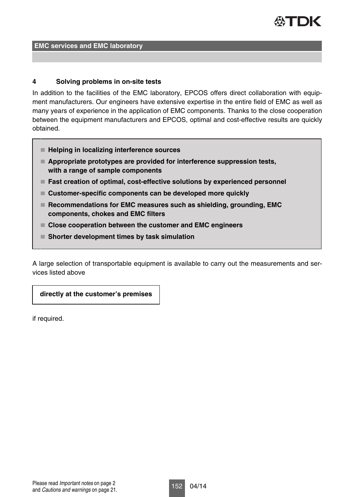

#### **4 Solving problems in on-site tests**

In addition to the facilities of the EMC laboratory, EPCOS offers direct collaboration with equipment manufacturers. Our engineers have extensive expertise in the entire field of EMC as well as many years of experience in the application of EMC components. Thanks to the close cooperation between the equipment manufacturers and EPCOS, optimal and cost-effective results are quickly obtained.

- **Helping in localizing interference sources**
- **Appropriate prototypes are provided for interference suppression tests, with a range of sample components**
- **Fast creation of optimal, cost-effective solutions by experienced personnel**
- **Customer-specific components can be developed more quickly**
- Recommendations for EMC measures such as shielding, grounding, EMC **components, chokes and EMC filters**
- **Close cooperation between the customer and EMC engineers**
- **Shorter development times by task simulation**

A large selection of transportable equipment is available to carry out the measurements and services listed above

**directly at the customer's premises**

if required.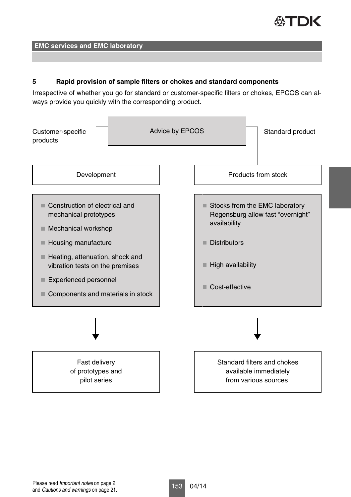

#### **5 Rapid provision of sample filters or chokes and standard components**

Irrespective of whether you go for standard or customer-specific filters or chokes, EPCOS can always provide you quickly with the corresponding product.

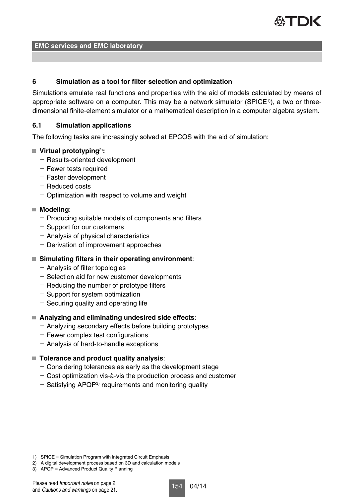

#### **6 Simulation as a tool for filter selection and optimization**

Simulations emulate real functions and properties with the aid of models calculated by means of appropriate software on a computer. This may be a network simulator (SPICE<sup>1)</sup>), a two or threedimensional finite-element simulator or a mathematical description in a computer algebra system.

#### **6.1 Simulation applications**

The following tasks are increasingly solved at EPCOS with the aid of simulation:

#### **Virtual prototyping**2)**:**

- $-$  Results-oriented development
- Fewer tests required
- $-$  Faster development
- Reduced costs
- $-$  Optimization with respect to volume and weight

#### **Modeling**:

- $-$  Producing suitable models of components and filters
- Support for our customers
- Analysis of physical characteristics
- $-$  Derivation of improvement approaches

#### **Simulating filters in their operating environment**:

- Analysis of filter topologies
- $-$  Selection aid for new customer developments
- $-$  Reducing the number of prototype filters
- Support for system optimization
- $-$  Securing quality and operating life

#### **Analyzing and eliminating undesired side effects**:

- Analyzing secondary effects before building prototypes
- $-$  Fewer complex test configurations
- Analysis of hard-to-handle exceptions

#### **Tolerance and product quality analysis**:

- $-$  Considering tolerances as early as the development stage
- $-$  Cost optimization vis-à-vis the production process and customer
- $-$  Satisfying APQP<sup>3)</sup> requirements and monitoring quality

1) SPICE = Simulation Program with lntegrated Circuit Emphasis

- 2) A digital development process based on 3D and calculation models
- 3) APQP = Advanced Product Quality Planning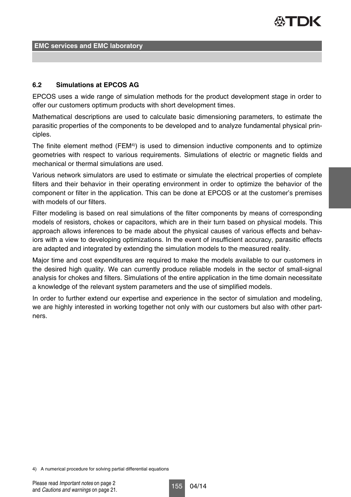

#### **6.2 Simulations at EPCOS AG**

EPCOS uses a wide range of simulation methods for the product development stage in order to offer our customers optimum products with short development times.

Mathematical descriptions are used to calculate basic dimensioning parameters, to estimate the parasitic properties of the components to be developed and to analyze fundamental physical principles.

The finite element method (FEM<sup>4)</sup>) is used to dimension inductive components and to optimize geometries with respect to various requirements. Simulations of electric or magnetic fields and mechanical or thermal simulations are used.

Various network simulators are used to estimate or simulate the electrical properties of complete filters and their behavior in their operating environment in order to optimize the behavior of the component or filter in the application. This can be done at EPCOS or at the customer's premises with models of our filters.

Filter modeling is based on real simulations of the filter components by means of corresponding models of resistors, chokes or capacitors, which are in their turn based on physical models. This approach allows inferences to be made about the physical causes of various effects and behaviors with a view to developing optimizations. In the event of insufficient accuracy, parasitic effects are adapted and integrated by extending the simulation models to the measured reality.

Major time and cost expenditures are required to make the models available to our customers in the desired high quality. We can currently produce reliable models in the sector of small-signal analysis for chokes and filters. Simulations of the entire application in the time domain necessitate a knowledge of the relevant system parameters and the use of simplified models.

In order to further extend our expertise and experience in the sector of simulation and modeling, we are highly interested in working together not only with our customers but also with other partners.

4) A numerical procedure for solving partial differential equations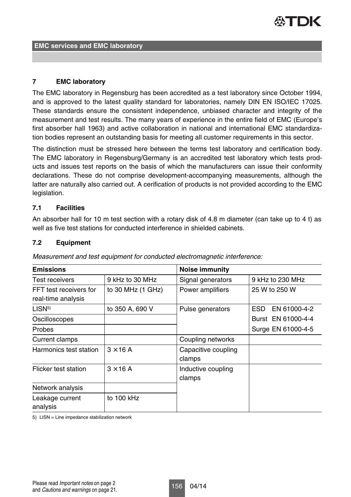#### **7 EMC laboratory**

The EMC laboratory in Regensburg has been accredited as a test laboratory since October 1994, and is approved to the latest quality standard for laboratories, namely DIN EN ISO/IEC 17025. These standards ensure the consistent independence, unbiased character and integrity of the measurement and test results. The many years of experience in the entire field of EMC (Europe's first absorber hall 1963) and active collaboration in national and international EMC standardization bodies represent an outstanding basis for meeting all customer requirements in this sector.

The distinction must be stressed here between the terms test laboratory and certification body. The EMC laboratory in Regensburg/Germany is an accredited test laboratory which tests products and issues test reports on the basis of which the manufacturers can issue their conformity declarations. These do not comprise development-accompanying measurements, although the latter are naturally also carried out. A cerification of products is not provided according to the EMC legislation.

#### **7.1 Facilities**

An absorber hall for 10 m test section with a rotary disk of 4.8 m diameter (can take up to 4 t) as well as five test stations for conducted interference in shielded cabinets.

#### **7.2 Equipment**

| <b>Emissions</b>       |                   | <b>Noise immunity</b> |                     |
|------------------------|-------------------|-----------------------|---------------------|
| Test receivers         | 9 kHz to 30 MHz   | Signal generators     | 9 kHz to 230 MHz    |
| FFT test receivers for | to 30 MHz (1 GHz) | Power amplifiers      | 25 W to 250 W       |
| real-time analysis     |                   |                       |                     |
| LISN <sub>5</sub>      | to 350 A, 690 V   | Pulse generators      | EN 61000-4-2<br>ESD |
| Oscilloscopes          |                   |                       | Burst EN 61000-4-4  |
| Probes                 |                   |                       | Surge EN 61000-4-5  |
| Current clamps         |                   | Coupling networks     |                     |
| Harmonics test station | $3 \times 16$ A   | Capacitive coupling   |                     |
|                        |                   | clamps                |                     |
| Flicker test station   | $3 \times 16$ A   | Inductive coupling    |                     |
|                        |                   | clamps                |                     |
| Network analysis       |                   |                       |                     |
| Leakage current        | to 100 kHz        |                       |                     |
| analysis               |                   |                       |                     |

Measurement and test equipment for conducted electromagnetic interference:

5) LISN = Line impedance stabilization network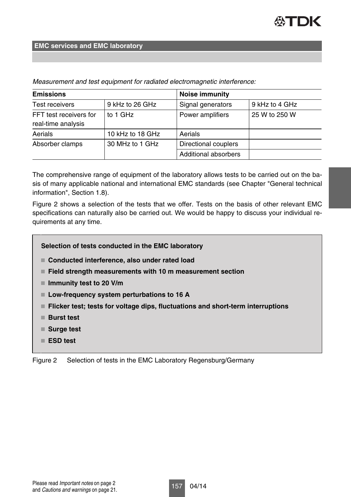| <b>Emissions</b>                             |                  | <b>Noise immunity</b> |                |  |
|----------------------------------------------|------------------|-----------------------|----------------|--|
| Test receivers                               | 9 kHz to 26 GHz  | Signal generators     | 9 kHz to 4 GHz |  |
| FFT test receivers for<br>real-time analysis | to 1 GHz         | Power amplifiers      | 25 W to 250 W  |  |
| Aerials                                      | 10 kHz to 18 GHz | Aerials               |                |  |
| Absorber clamps                              | 30 MHz to 1 GHz  | Directional couplers  |                |  |
|                                              |                  | Additional absorbers  |                |  |

Measurement and test equipment for radiated electromagnetic interference:

The comprehensive range of equipment of the laboratory allows tests to be carried out on the basis of many applicable national and international EMC standards (see Chapter "General technical information", Section 1.8).

Figure 2 shows a selection of the tests that we offer. Tests on the basis of other relevant EMC specifications can naturally also be carried out. We would be happy to discuss your individual requirements at any time.

#### **Selection of tests conducted in the EMC laboratory**

- **Conducted interference, also under rated load**
- **Field strength measurements with 10 m measurement section**
- **Immunity test to 20 V/m**
- **Low-frequency system perturbations to 16 A**
- **Flicker test; tests for voltage dips, fluctuations and short-term interruptions**
- **Burst test**
- Surge test
- **ESD test**

Figure 2 Selection of tests in the EMC Laboratory Regensburg/Germany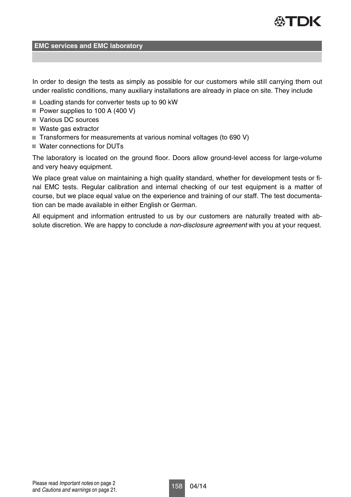

In order to design the tests as simply as possible for our customers while still carrying them out under realistic conditions, many auxiliary installations are already in place on site. They include

- Loading stands for converter tests up to 90 kW
- Power supplies to 100 A (400 V)
- Various DC sources
- Waste gas extractor
- $\blacksquare$  Transformers for measurements at various nominal voltages (to 690 V)
- Water connections for DUTs

The laboratory is located on the ground floor. Doors allow ground-level access for large-volume and very heavy equipment.

We place great value on maintaining a high quality standard, whether for development tests or final EMC tests. Regular calibration and internal checking of our test equipment is a matter of course, but we place equal value on the experience and training of our staff. The test documentation can be made available in either English or German.

All equipment and information entrusted to us by our customers are naturally treated with absolute discretion. We are happy to conclude a *non-disclosure agreement* with you at your request.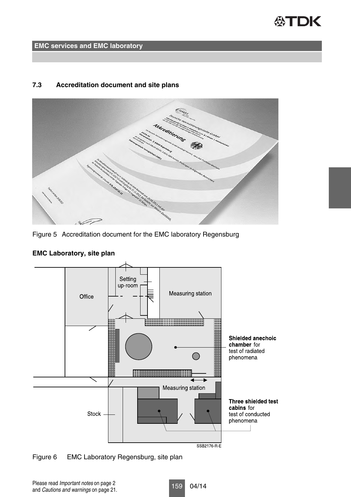## **公TDK**

**EMC services and EMC laboratory**

#### **7.3 Accreditation document and site plans**



Figure 5 Accreditation document for the EMC laboratory Regensburg



#### **EMC Laboratory, site plan**

Figure 6 EMC Laboratory Regensburg, site plan